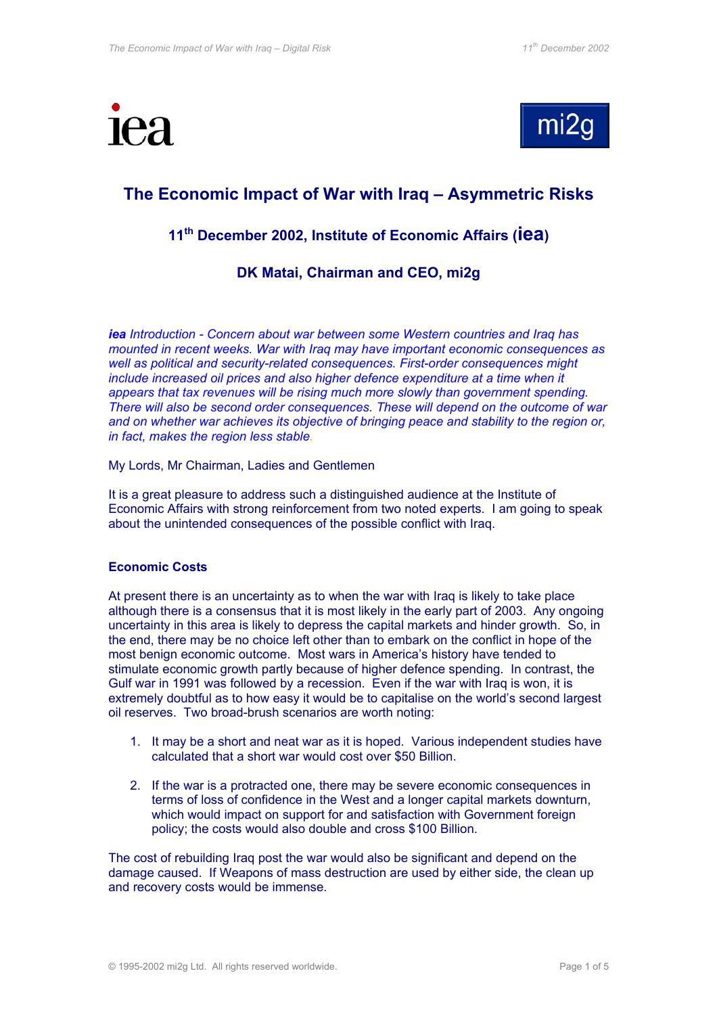



# **The Economic Impact of War with Iraq – Asymmetric Risks**

# **11th December 2002, Institute of Economic Affairs (iea)**

## **DK Matai, Chairman and CEO, mi2g**

*iea Introduction - Concern about war between some Western countries and Iraq has mounted in recent weeks. War with Iraq may have important economic consequences as well as political and security-related consequences. First-order consequences might include increased oil prices and also higher defence expenditure at a time when it appears that tax revenues will be rising much more slowly than government spending. There will also be second order consequences. These will depend on the outcome of war and on whether war achieves its objective of bringing peace and stability to the region or, in fact, makes the region less stable.*

#### My Lords, Mr Chairman, Ladies and Gentlemen

It is a great pleasure to address such a distinguished audience at the Institute of Economic Affairs with strong reinforcement from two noted experts. I am going to speak about the unintended consequences of the possible conflict with Iraq.

### **Economic Costs**

At present there is an uncertainty as to when the war with Iraq is likely to take place although there is a consensus that it is most likely in the early part of 2003. Any ongoing uncertainty in this area is likely to depress the capital markets and hinder growth. So, in the end, there may be no choice left other than to embark on the conflict in hope of the most benign economic outcome. Most wars in America's history have tended to stimulate economic growth partly because of higher defence spending. In contrast, the Gulf war in 1991 was followed by a recession. Even if the war with Iraq is won, it is extremely doubtful as to how easy it would be to capitalise on the world's second largest oil reserves. Two broad-brush scenarios are worth noting:

- 1. It may be a short and neat war as it is hoped. Various independent studies have calculated that a short war would cost over \$50 Billion.
- 2. If the war is a protracted one, there may be severe economic consequences in terms of loss of confidence in the West and a longer capital markets downturn, which would impact on support for and satisfaction with Government foreign policy; the costs would also double and cross \$100 Billion.

The cost of rebuilding Iraq post the war would also be significant and depend on the damage caused. If Weapons of mass destruction are used by either side, the clean up and recovery costs would be immense.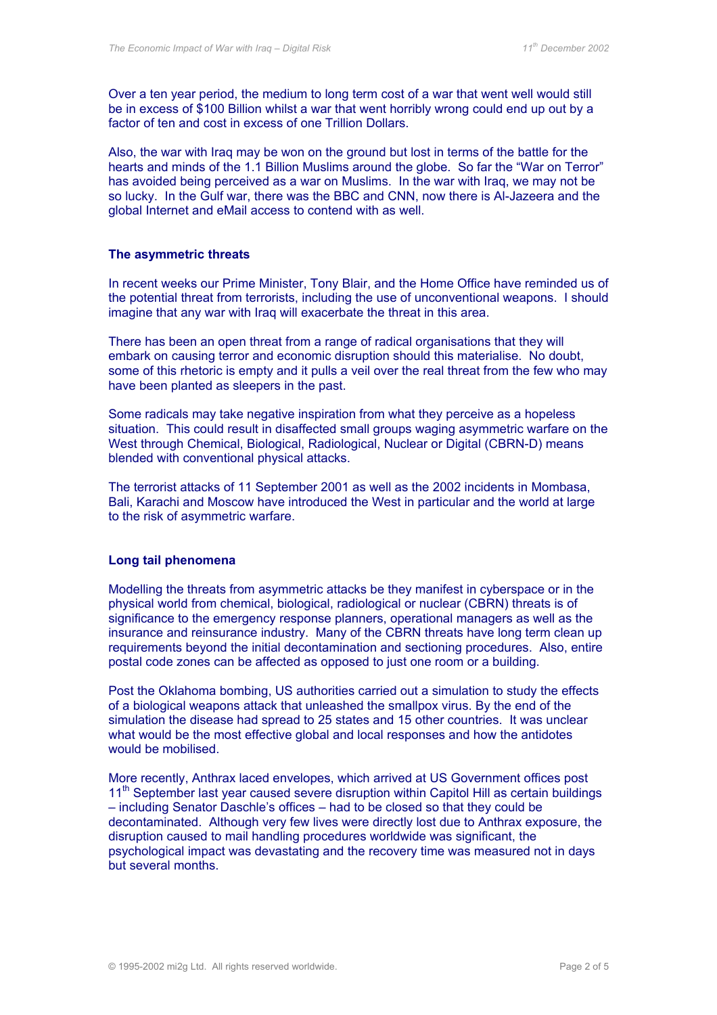Over a ten year period, the medium to long term cost of a war that went well would still be in excess of \$100 Billion whilst a war that went horribly wrong could end up out by a factor of ten and cost in excess of one Trillion Dollars.

Also, the war with Iraq may be won on the ground but lost in terms of the battle for the hearts and minds of the 1.1 Billion Muslims around the globe. So far the "War on Terror" has avoided being perceived as a war on Muslims. In the war with Iraq, we may not be so lucky. In the Gulf war, there was the BBC and CNN, now there is Al-Jazeera and the global Internet and eMail access to contend with as well.

#### **The asymmetric threats**

In recent weeks our Prime Minister, Tony Blair, and the Home Office have reminded us of the potential threat from terrorists, including the use of unconventional weapons. I should imagine that any war with Iraq will exacerbate the threat in this area.

There has been an open threat from a range of radical organisations that they will embark on causing terror and economic disruption should this materialise. No doubt, some of this rhetoric is empty and it pulls a veil over the real threat from the few who may have been planted as sleepers in the past.

Some radicals may take negative inspiration from what they perceive as a hopeless situation. This could result in disaffected small groups waging asymmetric warfare on the West through Chemical, Biological, Radiological, Nuclear or Digital (CBRN-D) means blended with conventional physical attacks.

The terrorist attacks of 11 September 2001 as well as the 2002 incidents in Mombasa, Bali, Karachi and Moscow have introduced the West in particular and the world at large to the risk of asymmetric warfare.

### **Long tail phenomena**

Modelling the threats from asymmetric attacks be they manifest in cyberspace or in the physical world from chemical, biological, radiological or nuclear (CBRN) threats is of significance to the emergency response planners, operational managers as well as the insurance and reinsurance industry. Many of the CBRN threats have long term clean up requirements beyond the initial decontamination and sectioning procedures. Also, entire postal code zones can be affected as opposed to just one room or a building.

Post the Oklahoma bombing, US authorities carried out a simulation to study the effects of a biological weapons attack that unleashed the smallpox virus. By the end of the simulation the disease had spread to 25 states and 15 other countries. It was unclear what would be the most effective global and local responses and how the antidotes would be mobilised.

More recently, Anthrax laced envelopes, which arrived at US Government offices post 11<sup>th</sup> September last year caused severe disruption within Capitol Hill as certain buildings – including Senator Daschle's offices – had to be closed so that they could be decontaminated. Although very few lives were directly lost due to Anthrax exposure, the disruption caused to mail handling procedures worldwide was significant, the psychological impact was devastating and the recovery time was measured not in days but several months.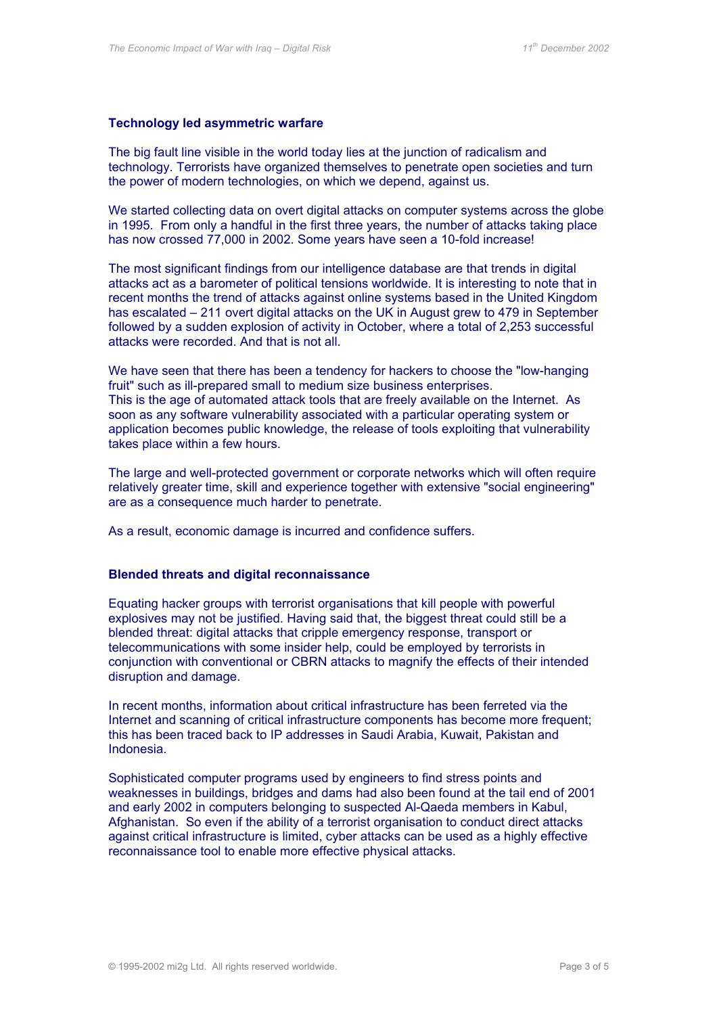#### **Technology led asymmetric warfare**

The big fault line visible in the world today lies at the junction of radicalism and technology. Terrorists have organized themselves to penetrate open societies and turn the power of modern technologies, on which we depend, against us.

We started collecting data on overt digital attacks on computer systems across the globe in 1995. From only a handful in the first three years, the number of attacks taking place has now crossed 77,000 in 2002. Some years have seen a 10-fold increase!

The most significant findings from our intelligence database are that trends in digital attacks act as a barometer of political tensions worldwide. It is interesting to note that in recent months the trend of attacks against online systems based in the United Kingdom has escalated – 211 overt digital attacks on the UK in August grew to 479 in September followed by a sudden explosion of activity in October, where a total of 2,253 successful attacks were recorded. And that is not all.

We have seen that there has been a tendency for hackers to choose the "low-hanging fruit" such as ill-prepared small to medium size business enterprises. This is the age of automated attack tools that are freely available on the Internet. As soon as any software vulnerability associated with a particular operating system or application becomes public knowledge, the release of tools exploiting that vulnerability takes place within a few hours.

The large and well-protected government or corporate networks which will often require relatively greater time, skill and experience together with extensive "social engineering" are as a consequence much harder to penetrate.

As a result, economic damage is incurred and confidence suffers.

#### **Blended threats and digital reconnaissance**

Equating hacker groups with terrorist organisations that kill people with powerful explosives may not be justified. Having said that, the biggest threat could still be a blended threat: digital attacks that cripple emergency response, transport or telecommunications with some insider help, could be employed by terrorists in conjunction with conventional or CBRN attacks to magnify the effects of their intended disruption and damage.

In recent months, information about critical infrastructure has been ferreted via the Internet and scanning of critical infrastructure components has become more frequent: this has been traced back to IP addresses in Saudi Arabia, Kuwait, Pakistan and Indonesia.

Sophisticated computer programs used by engineers to find stress points and weaknesses in buildings, bridges and dams had also been found at the tail end of 2001 and early 2002 in computers belonging to suspected Al-Qaeda members in Kabul, Afghanistan. So even if the ability of a terrorist organisation to conduct direct attacks against critical infrastructure is limited, cyber attacks can be used as a highly effective reconnaissance tool to enable more effective physical attacks.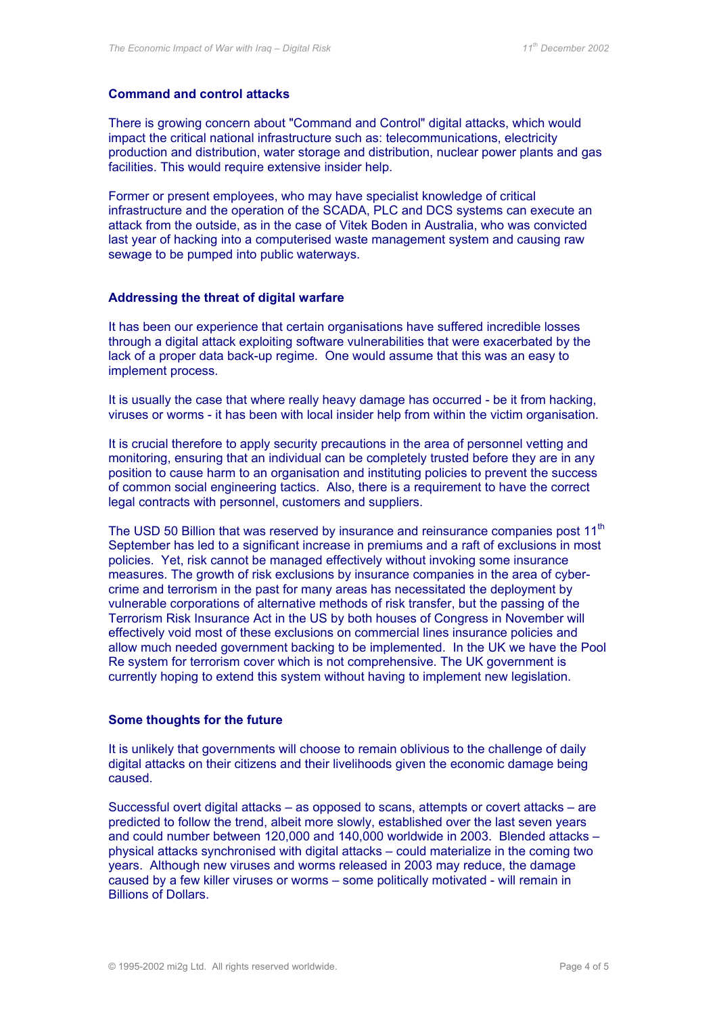#### **Command and control attacks**

There is growing concern about "Command and Control" digital attacks, which would impact the critical national infrastructure such as: telecommunications, electricity production and distribution, water storage and distribution, nuclear power plants and gas facilities. This would require extensive insider help.

Former or present employees, who may have specialist knowledge of critical infrastructure and the operation of the SCADA, PLC and DCS systems can execute an attack from the outside, as in the case of Vitek Boden in Australia, who was convicted last year of hacking into a computerised waste management system and causing raw sewage to be pumped into public waterways.

#### **Addressing the threat of digital warfare**

It has been our experience that certain organisations have suffered incredible losses through a digital attack exploiting software vulnerabilities that were exacerbated by the lack of a proper data back-up regime. One would assume that this was an easy to implement process.

It is usually the case that where really heavy damage has occurred - be it from hacking, viruses or worms - it has been with local insider help from within the victim organisation.

It is crucial therefore to apply security precautions in the area of personnel vetting and monitoring, ensuring that an individual can be completely trusted before they are in any position to cause harm to an organisation and instituting policies to prevent the success of common social engineering tactics. Also, there is a requirement to have the correct legal contracts with personnel, customers and suppliers.

The USD 50 Billion that was reserved by insurance and reinsurance companies post 11<sup>th</sup> September has led to a significant increase in premiums and a raft of exclusions in most policies. Yet, risk cannot be managed effectively without invoking some insurance measures. The growth of risk exclusions by insurance companies in the area of cybercrime and terrorism in the past for many areas has necessitated the deployment by vulnerable corporations of alternative methods of risk transfer, but the passing of the Terrorism Risk Insurance Act in the US by both houses of Congress in November will effectively void most of these exclusions on commercial lines insurance policies and allow much needed government backing to be implemented. In the UK we have the Pool Re system for terrorism cover which is not comprehensive. The UK government is currently hoping to extend this system without having to implement new legislation.

#### **Some thoughts for the future**

It is unlikely that governments will choose to remain oblivious to the challenge of daily digital attacks on their citizens and their livelihoods given the economic damage being caused.

Successful overt digital attacks – as opposed to scans, attempts or covert attacks – are predicted to follow the trend, albeit more slowly, established over the last seven years and could number between 120,000 and 140,000 worldwide in 2003. Blended attacks – physical attacks synchronised with digital attacks – could materialize in the coming two years. Although new viruses and worms released in 2003 may reduce, the damage caused by a few killer viruses or worms – some politically motivated - will remain in Billions of Dollars.